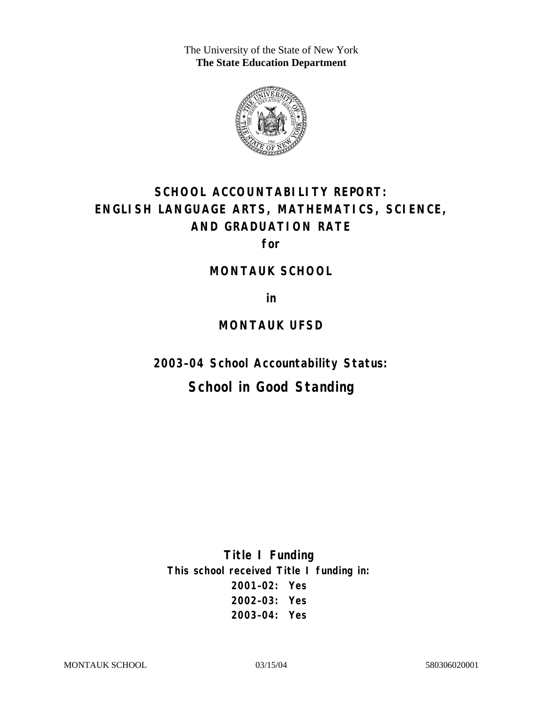The University of the State of New York **The State Education Department** 



# **SCHOOL ACCOUNTABILITY REPORT: ENGLISH LANGUAGE ARTS, MATHEMATICS, SCIENCE, AND GRADUATION RATE**

**for** 

#### **MONTAUK SCHOOL**

**in** 

#### **MONTAUK UFSD**

**2003–04 School Accountability Status:** 

## **School in Good Standing**

**Title I Funding This school received Title I funding in: 2001–02: Yes 2002–03: Yes 2003–04: Yes**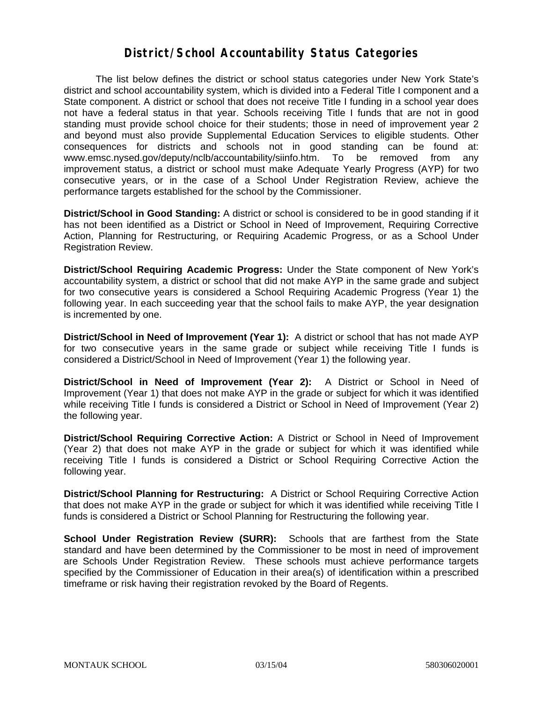#### **District/School Accountability Status Categories**

The list below defines the district or school status categories under New York State's district and school accountability system, which is divided into a Federal Title I component and a State component. A district or school that does not receive Title I funding in a school year does not have a federal status in that year. Schools receiving Title I funds that are not in good standing must provide school choice for their students; those in need of improvement year 2 and beyond must also provide Supplemental Education Services to eligible students. Other consequences for districts and schools not in good standing can be found at: www.emsc.nysed.gov/deputy/nclb/accountability/siinfo.htm. To be removed from any improvement status, a district or school must make Adequate Yearly Progress (AYP) for two consecutive years, or in the case of a School Under Registration Review, achieve the performance targets established for the school by the Commissioner.

**District/School in Good Standing:** A district or school is considered to be in good standing if it has not been identified as a District or School in Need of Improvement, Requiring Corrective Action, Planning for Restructuring, or Requiring Academic Progress, or as a School Under Registration Review.

**District/School Requiring Academic Progress:** Under the State component of New York's accountability system, a district or school that did not make AYP in the same grade and subject for two consecutive years is considered a School Requiring Academic Progress (Year 1) the following year. In each succeeding year that the school fails to make AYP, the year designation is incremented by one.

**District/School in Need of Improvement (Year 1):** A district or school that has not made AYP for two consecutive years in the same grade or subject while receiving Title I funds is considered a District/School in Need of Improvement (Year 1) the following year.

**District/School in Need of Improvement (Year 2):** A District or School in Need of Improvement (Year 1) that does not make AYP in the grade or subject for which it was identified while receiving Title I funds is considered a District or School in Need of Improvement (Year 2) the following year.

**District/School Requiring Corrective Action:** A District or School in Need of Improvement (Year 2) that does not make AYP in the grade or subject for which it was identified while receiving Title I funds is considered a District or School Requiring Corrective Action the following year.

**District/School Planning for Restructuring:** A District or School Requiring Corrective Action that does not make AYP in the grade or subject for which it was identified while receiving Title I funds is considered a District or School Planning for Restructuring the following year.

**School Under Registration Review (SURR):** Schools that are farthest from the State standard and have been determined by the Commissioner to be most in need of improvement are Schools Under Registration Review. These schools must achieve performance targets specified by the Commissioner of Education in their area(s) of identification within a prescribed timeframe or risk having their registration revoked by the Board of Regents.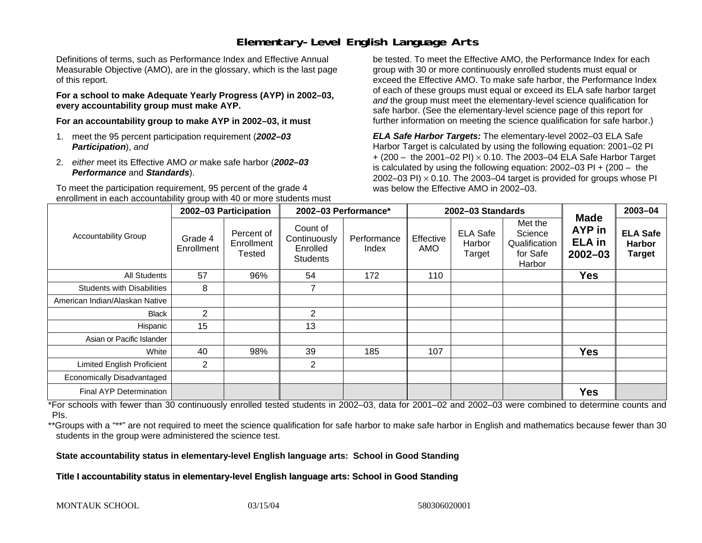### **Elementary-Level English Language Arts**

Definitions of terms, such as Performance Index and Effective Annual Measurable Objective (AMO), are in the glossary, which is the last page of this report.

**For a school to make Adequate Yearly Progress (AYP) in 2002–03, every accountability group must make AYP.** 

**For an accountability group to make AYP in 2002–03, it must** 

- 1. meet the 95 percent participation requirement (*2002–03 Participation*), *and*
- 2. *either* meet its Effective AMO *or* make safe harbor (*2002–03 Performance* and *Standards*).

To meet the participation requirement, 95 percent of the grade 4 enrollment in each accountability group with 40 or more students must

be tested. To meet the Effective AMO, the Performance Index for each group with 30 or more continuously enrolled students must equal or exceed the Effective AMO. To make safe harbor, the Performance Index of each of these groups must equal or exceed its ELA safe harbor target *and* the group must meet the elementary-level science qualification for safe harbor. (See the elementary-level science page of this report for further information on meeting the science qualification for safe harbor.)

*ELA Safe Harbor Targets:* The elementary-level 2002–03 ELA Safe Harbor Target is calculated by using the following equation: 2001–02 PI + (200 – the 2001–02 PI) <sup>×</sup> 0.10. The 2003–04 ELA Safe Harbor Target is calculated by using the following equation: 2002–03 PI + (200 – the 2002–03 PI)  $\times$  0.10. The 2003–04 target is provided for groups whose PI was below the Effective AMO in 2002–03.

|                                   | 2002-03 Participation |                                    | 2002-03 Performance*                                    |                      |                         | 2002-03 Standards                   |                                                           | 2003-04                                                      |                                                   |
|-----------------------------------|-----------------------|------------------------------------|---------------------------------------------------------|----------------------|-------------------------|-------------------------------------|-----------------------------------------------------------|--------------------------------------------------------------|---------------------------------------------------|
| <b>Accountability Group</b>       | Grade 4<br>Enrollment | Percent of<br>Enrollment<br>Tested | Count of<br>Continuously<br>Enrolled<br><b>Students</b> | Performance<br>Index | Effective<br><b>AMO</b> | <b>ELA Safe</b><br>Harbor<br>Target | Met the<br>Science<br>Qualification<br>for Safe<br>Harbor | <b>Made</b><br><b>AYP</b> in<br><b>ELA</b> in<br>$2002 - 03$ | <b>ELA Safe</b><br><b>Harbor</b><br><b>Target</b> |
| <b>All Students</b>               | 57                    | 96%                                | 54                                                      | 172                  | 110                     |                                     |                                                           | <b>Yes</b>                                                   |                                                   |
| <b>Students with Disabilities</b> | 8                     |                                    | $\overline{ }$                                          |                      |                         |                                     |                                                           |                                                              |                                                   |
| American Indian/Alaskan Native    |                       |                                    |                                                         |                      |                         |                                     |                                                           |                                                              |                                                   |
| Black                             | $\overline{2}$        |                                    | 2                                                       |                      |                         |                                     |                                                           |                                                              |                                                   |
| Hispanic                          | 15                    |                                    | 13                                                      |                      |                         |                                     |                                                           |                                                              |                                                   |
| Asian or Pacific Islander         |                       |                                    |                                                         |                      |                         |                                     |                                                           |                                                              |                                                   |
| White                             | 40                    | 98%                                | 39                                                      | 185                  | 107                     |                                     |                                                           | <b>Yes</b>                                                   |                                                   |
| <b>Limited English Proficient</b> | $\overline{2}$        |                                    | $\overline{2}$                                          |                      |                         |                                     |                                                           |                                                              |                                                   |
| Economically Disadvantaged        |                       |                                    |                                                         |                      |                         |                                     |                                                           |                                                              |                                                   |
| Final AYP Determination           |                       |                                    |                                                         |                      |                         |                                     |                                                           | <b>Yes</b>                                                   |                                                   |

\*For schools with fewer than 30 continuously enrolled tested students in 2002–03, data for 2001–02 and 2002–03 were combined to determine counts and PIs.

\*\*Groups with a "\*\*" are not required to meet the science qualification for safe harbor to make safe harbor in English and mathematics because fewer than 30 students in the group were administered the science test.

**State accountability status in elementary-level English language arts: School in Good Standing** 

Title I accountability status in elementary-level English language arts: School in Good Standing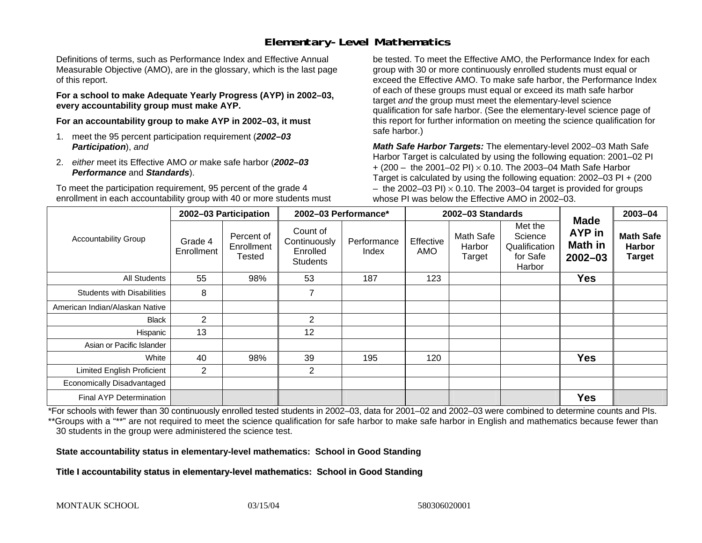### **Elementary-Level Mathematics**

Definitions of terms, such as Performance Index and Effective Annual Measurable Objective (AMO), are in the glossary, which is the last page of this report.

**For a school to make Adequate Yearly Progress (AYP) in 2002–03, every accountability group must make AYP.** 

**For an accountability group to make AYP in 2002–03, it must** 

- 1. meet the 95 percent participation requirement (*2002–03 Participation*), *and*
- 2. *either* meet its Effective AMO *or* make safe harbor (*2002–03 Performance* and *Standards*).

To meet the participation requirement, 95 percent of the grade 4 enrollment in each accountability group with 40 or more students must

be tested. To meet the Effective AMO, the Performance Index for each group with 30 or more continuously enrolled students must equal or exceed the Effective AMO. To make safe harbor, the Performance Index of each of these groups must equal or exceed its math safe harbor target *and* the group must meet the elementary-level science qualification for safe harbor. (See the elementary-level science page of this report for further information on meeting the science qualification for safe harbor.)

*Math Safe Harbor Targets:* The elementary-level 2002–03 Math Safe Harbor Target is calculated by using the following equation: 2001–02 PI + (200 – the 2001–02 PI) × 0.10. The 2003–04 Math Safe Harbor Target is calculated by using the following equation: 2002–03 PI + (200  $-$  the 2002–03 PI)  $\times$  0.10. The 2003–04 target is provided for groups whose PI was below the Effective AMO in 2002–03.

|                                   | 2002-03 Participation |                                    | 2002-03 Performance*                                    |                      |                  | 2002-03 Standards             |                                                           | 2003-04                                                |                                                    |
|-----------------------------------|-----------------------|------------------------------------|---------------------------------------------------------|----------------------|------------------|-------------------------------|-----------------------------------------------------------|--------------------------------------------------------|----------------------------------------------------|
| <b>Accountability Group</b>       | Grade 4<br>Enrollment | Percent of<br>Enrollment<br>Tested | Count of<br>Continuously<br>Enrolled<br><b>Students</b> | Performance<br>Index | Effective<br>AMO | Math Safe<br>Harbor<br>Target | Met the<br>Science<br>Qualification<br>for Safe<br>Harbor | <b>Made</b><br><b>AYP</b> in<br>Math in<br>$2002 - 03$ | <b>Math Safe</b><br><b>Harbor</b><br><b>Target</b> |
| All Students                      | 55                    | 98%                                | 53                                                      | 187                  | 123              |                               |                                                           | <b>Yes</b>                                             |                                                    |
| <b>Students with Disabilities</b> | 8                     |                                    | 7                                                       |                      |                  |                               |                                                           |                                                        |                                                    |
| American Indian/Alaskan Native    |                       |                                    |                                                         |                      |                  |                               |                                                           |                                                        |                                                    |
| <b>Black</b>                      | 2                     |                                    | $\overline{2}$                                          |                      |                  |                               |                                                           |                                                        |                                                    |
| Hispanic                          | 13                    |                                    | 12                                                      |                      |                  |                               |                                                           |                                                        |                                                    |
| Asian or Pacific Islander         |                       |                                    |                                                         |                      |                  |                               |                                                           |                                                        |                                                    |
| White                             | 40                    | 98%                                | 39                                                      | 195                  | 120              |                               |                                                           | <b>Yes</b>                                             |                                                    |
| <b>Limited English Proficient</b> | $\overline{2}$        |                                    | $\overline{2}$                                          |                      |                  |                               |                                                           |                                                        |                                                    |
| Economically Disadvantaged        |                       |                                    |                                                         |                      |                  |                               |                                                           |                                                        |                                                    |
| <b>Final AYP Determination</b>    |                       |                                    |                                                         |                      |                  |                               |                                                           | <b>Yes</b>                                             |                                                    |

\*For schools with fewer than 30 continuously enrolled tested students in 2002–03, data for 2001–02 and 2002–03 were combined to determine counts and PIs. \*\*Groups with a "\*\*" are not required to meet the science qualification for safe harbor to make safe harbor in English and mathematics because fewer than 30 students in the group were administered the science test.

**State accountability status in elementary-level mathematics: School in Good Standing** 

Title I accountability status in elementary-level mathematics: School in Good Standing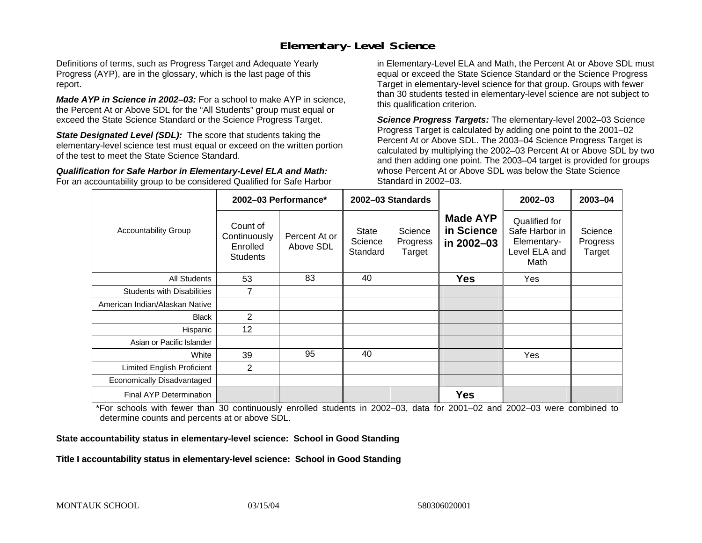#### **Elementary-Level Science**

Definitions of terms, such as Progress Target and Adequate Yearly Progress (AYP), are in the glossary, which is the last page of this report.

*Made AYP in Science in 2002–03:* For a school to make AYP in science, the Percent At or Above SDL for the "All Students" group must equal or exceed the State Science Standard or the Science Progress Target.

**State Designated Level (SDL):** The score that students taking the elementary-level science test must equal or exceed on the written portion of the test to meet the State Science Standard.

*Qualification for Safe Harbor in Elementary-Level ELA and Math:* For an accountability group to be considered Qualified for Safe Harbor in Elementary-Level ELA and Math, the Percent At or Above SDL must equal or exceed the State Science Standard or the Science Progress Target in elementary-level science for that group. Groups with fewer than 30 students tested in elementary-level science are not subject to this qualification criterion.

*Science Progress Targets:* The elementary-level 2002–03 Science Progress Target is calculated by adding one point to the 2001–02 Percent At or Above SDL. The 2003–04 Science Progress Target is calculated by multiplying the 2002–03 Percent At or Above SDL by two and then adding one point. The 2003–04 target is provided for groups whose Percent At or Above SDL was below the State Science Standard in 2002–03.

|                                   |                                                                                                                                                               | 2002-03 Performance* | 2002-03 Standards                           |                                                                         |                               | $2002 - 03$ | 2003-04 |
|-----------------------------------|---------------------------------------------------------------------------------------------------------------------------------------------------------------|----------------------|---------------------------------------------|-------------------------------------------------------------------------|-------------------------------|-------------|---------|
| <b>Accountability Group</b>       | Count of<br>Science<br><b>State</b><br>Continuously<br>Percent At or<br>Science<br>Progress<br>Above SDL<br>Enrolled<br>Standard<br>Target<br><b>Students</b> |                      | <b>Made AYP</b><br>in Science<br>in 2002-03 | Qualified for<br>Safe Harbor in<br>Elementary-<br>Level ELA and<br>Math | Science<br>Progress<br>Target |             |         |
| All Students                      | 53                                                                                                                                                            | 83                   | 40                                          |                                                                         | <b>Yes</b>                    | Yes         |         |
| <b>Students with Disabilities</b> | $\overline{7}$                                                                                                                                                |                      |                                             |                                                                         |                               |             |         |
| American Indian/Alaskan Native    |                                                                                                                                                               |                      |                                             |                                                                         |                               |             |         |
| <b>Black</b>                      | 2                                                                                                                                                             |                      |                                             |                                                                         |                               |             |         |
| Hispanic                          | 12                                                                                                                                                            |                      |                                             |                                                                         |                               |             |         |
| Asian or Pacific Islander         |                                                                                                                                                               |                      |                                             |                                                                         |                               |             |         |
| White                             | 39                                                                                                                                                            | 95                   | 40                                          |                                                                         |                               | Yes         |         |
| Limited English Proficient        | 2                                                                                                                                                             |                      |                                             |                                                                         |                               |             |         |
| Economically Disadvantaged        |                                                                                                                                                               |                      |                                             |                                                                         |                               |             |         |
| Final AYP Determination           |                                                                                                                                                               |                      |                                             |                                                                         | <b>Yes</b>                    |             |         |

\*For schools with fewer than 30 continuously enrolled students in 2002–03, data for 2001–02 and 2002–03 were combined to determine counts and percents at or above SDL.

#### **State accountability status in elementary-level science: School in Good Standing**

#### Title I accountability status in elementary-level science: School in Good Standing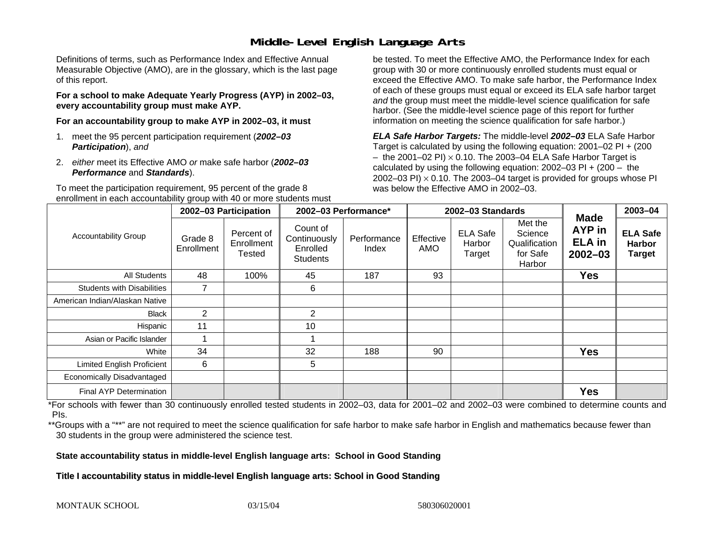#### **Middle-Level English Language Arts**

Definitions of terms, such as Performance Index and Effective Annual Measurable Objective (AMO), are in the glossary, which is the last page of this report.

**For a school to make Adequate Yearly Progress (AYP) in 2002–03, every accountability group must make AYP.** 

**For an accountability group to make AYP in 2002–03, it must** 

- 1. meet the 95 percent participation requirement (*2002–03 Participation*), *and*
- 2. *either* meet its Effective AMO *or* make safe harbor (*2002–03 Performance* and *Standards*).

To meet the participation requirement, 95 percent of the grade 8 enrollment in each accountability group with 40 or more students must

be tested. To meet the Effective AMO, the Performance Index for each group with 30 or more continuously enrolled students must equal or exceed the Effective AMO. To make safe harbor, the Performance Index of each of these groups must equal or exceed its ELA safe harbor target *and* the group must meet the middle-level science qualification for safe harbor. (See the middle-level science page of this report for further information on meeting the science qualification for safe harbor.)

*ELA Safe Harbor Targets:* The middle-level *2002–03* ELA Safe Harbor Target is calculated by using the following equation: 2001–02 PI + (200  $-$  the 2001–02 PI)  $\times$  0.10. The 2003–04 ELA Safe Harbor Target is  $\,$ calculated by using the following equation:  $2002-03$  PI +  $(200 -$  the 2002–03 PI)  $\times$  0.10. The 2003–04 target is provided for groups whose PI was below the Effective AMO in 2002–03.

|                                   | 2002-03 Participation |                                    | 2002-03 Performance*                                    |                      | 2002-03 Standards |                                     |                                                           |                                                              | $2003 - 04$                                       |
|-----------------------------------|-----------------------|------------------------------------|---------------------------------------------------------|----------------------|-------------------|-------------------------------------|-----------------------------------------------------------|--------------------------------------------------------------|---------------------------------------------------|
| <b>Accountability Group</b>       | Grade 8<br>Enrollment | Percent of<br>Enrollment<br>Tested | Count of<br>Continuously<br>Enrolled<br><b>Students</b> | Performance<br>Index | Effective<br>AMO  | <b>ELA Safe</b><br>Harbor<br>Target | Met the<br>Science<br>Qualification<br>for Safe<br>Harbor | <b>Made</b><br><b>AYP</b> in<br><b>ELA</b> in<br>$2002 - 03$ | <b>ELA Safe</b><br><b>Harbor</b><br><b>Target</b> |
| <b>All Students</b>               | 48                    | 100%                               | 45                                                      | 187                  | 93                |                                     |                                                           | <b>Yes</b>                                                   |                                                   |
| <b>Students with Disabilities</b> | $\overline{ }$        |                                    | 6                                                       |                      |                   |                                     |                                                           |                                                              |                                                   |
| American Indian/Alaskan Native    |                       |                                    |                                                         |                      |                   |                                     |                                                           |                                                              |                                                   |
| Black                             | $\overline{2}$        |                                    | $\overline{2}$                                          |                      |                   |                                     |                                                           |                                                              |                                                   |
| Hispanic                          | 11                    |                                    | 10                                                      |                      |                   |                                     |                                                           |                                                              |                                                   |
| Asian or Pacific Islander         |                       |                                    |                                                         |                      |                   |                                     |                                                           |                                                              |                                                   |
| White                             | 34                    |                                    | 32                                                      | 188                  | 90                |                                     |                                                           | <b>Yes</b>                                                   |                                                   |
| Limited English Proficient        | 6                     |                                    | 5                                                       |                      |                   |                                     |                                                           |                                                              |                                                   |
| Economically Disadvantaged        |                       |                                    |                                                         |                      |                   |                                     |                                                           |                                                              |                                                   |
| Final AYP Determination           |                       |                                    |                                                         |                      |                   |                                     |                                                           | <b>Yes</b>                                                   |                                                   |

\*For schools with fewer than 30 continuously enrolled tested students in 2002–03, data for 2001–02 and 2002–03 were combined to determine counts and PIs.

\*\*Groups with a "\*\*" are not required to meet the science qualification for safe harbor to make safe harbor in English and mathematics because fewer than 30 students in the group were administered the science test.

**State accountability status in middle-level English language arts: School in Good Standing** 

Title I accountability status in middle-level English language arts: School in Good Standing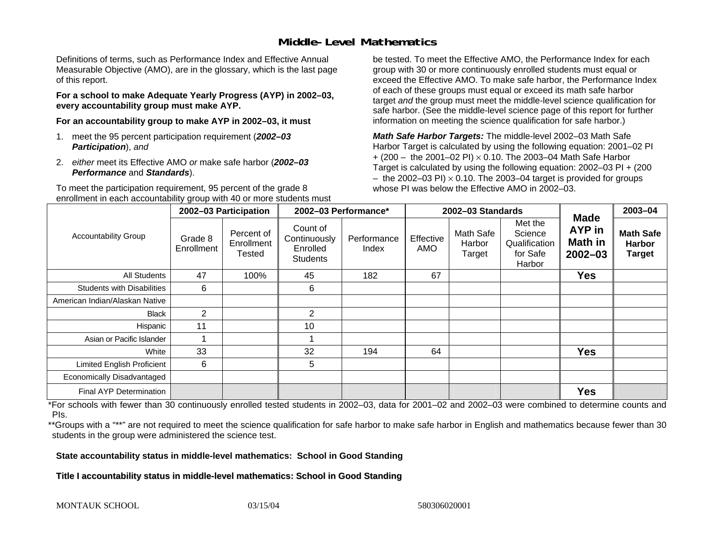#### **Middle-Level Mathematics**

Definitions of terms, such as Performance Index and Effective Annual Measurable Objective (AMO), are in the glossary, which is the last page of this report.

**For a school to make Adequate Yearly Progress (AYP) in 2002–03, every accountability group must make AYP.** 

**For an accountability group to make AYP in 2002–03, it must** 

- 1. meet the 95 percent participation requirement (*2002–03 Participation*), *and*
- 2. *either* meet its Effective AMO *or* make safe harbor (*2002–03 Performance* and *Standards*).

To meet the participation requirement, 95 percent of the grade 8 enrollment in each accountability group with 40 or more students must

be tested. To meet the Effective AMO, the Performance Index for each group with 30 or more continuously enrolled students must equal or exceed the Effective AMO. To make safe harbor, the Performance Index of each of these groups must equal or exceed its math safe harbor target *and* the group must meet the middle-level science qualification for safe harbor. (See the middle-level science page of this report for further information on meeting the science qualification for safe harbor.)

*Math Safe Harbor Targets:* The middle-level 2002–03 Math Safe Harbor Target is calculated by using the following equation: 2001–02 PI + (200 – the 2001–02 PI) × 0.10. The 2003–04 Math Safe Harbor Target is calculated by using the following equation: 2002–03 PI + (200  $-$  the 2002–03 PI)  $\times$  0.10. The 2003–04 target is provided for groups whose PI was below the Effective AMO in 2002–03

|                                   | 2002-03 Participation |                                    | 2002-03 Performance*                                    |                      |                  | 2002-03 Standards                    |                                                           | 2003-04                                                       |                                                    |
|-----------------------------------|-----------------------|------------------------------------|---------------------------------------------------------|----------------------|------------------|--------------------------------------|-----------------------------------------------------------|---------------------------------------------------------------|----------------------------------------------------|
| <b>Accountability Group</b>       | Grade 8<br>Enrollment | Percent of<br>Enrollment<br>Tested | Count of<br>Continuously<br>Enrolled<br><b>Students</b> | Performance<br>Index | Effective<br>AMO | <b>Math Safe</b><br>Harbor<br>Target | Met the<br>Science<br>Qualification<br>for Safe<br>Harbor | <b>Made</b><br><b>AYP</b> in<br><b>Math in</b><br>$2002 - 03$ | <b>Math Safe</b><br><b>Harbor</b><br><b>Target</b> |
| All Students                      | 47                    | 100%                               | 45                                                      | 182                  | 67               |                                      |                                                           | <b>Yes</b>                                                    |                                                    |
| <b>Students with Disabilities</b> | 6                     |                                    | 6                                                       |                      |                  |                                      |                                                           |                                                               |                                                    |
| American Indian/Alaskan Native    |                       |                                    |                                                         |                      |                  |                                      |                                                           |                                                               |                                                    |
| <b>Black</b>                      | 2                     |                                    | $\overline{2}$                                          |                      |                  |                                      |                                                           |                                                               |                                                    |
| Hispanic                          | 11                    |                                    | 10                                                      |                      |                  |                                      |                                                           |                                                               |                                                    |
| Asian or Pacific Islander         |                       |                                    |                                                         |                      |                  |                                      |                                                           |                                                               |                                                    |
| White                             | 33                    |                                    | 32                                                      | 194                  | 64               |                                      |                                                           | <b>Yes</b>                                                    |                                                    |
| <b>Limited English Proficient</b> | 6                     |                                    | 5                                                       |                      |                  |                                      |                                                           |                                                               |                                                    |
| Economically Disadvantaged        |                       |                                    |                                                         |                      |                  |                                      |                                                           |                                                               |                                                    |
| <b>Final AYP Determination</b>    |                       |                                    |                                                         |                      |                  |                                      |                                                           | <b>Yes</b>                                                    |                                                    |

\*For schools with fewer than 30 continuously enrolled tested students in 2002–03, data for 2001–02 and 2002–03 were combined to determine counts and PIs.

\*\*Groups with a "\*\*" are not required to meet the science qualification for safe harbor to make safe harbor in English and mathematics because fewer than 30 students in the group were administered the science test.

**State accountability status in middle-level mathematics: School in Good Standing** 

Title I accountability status in middle-level mathematics: School in Good Standing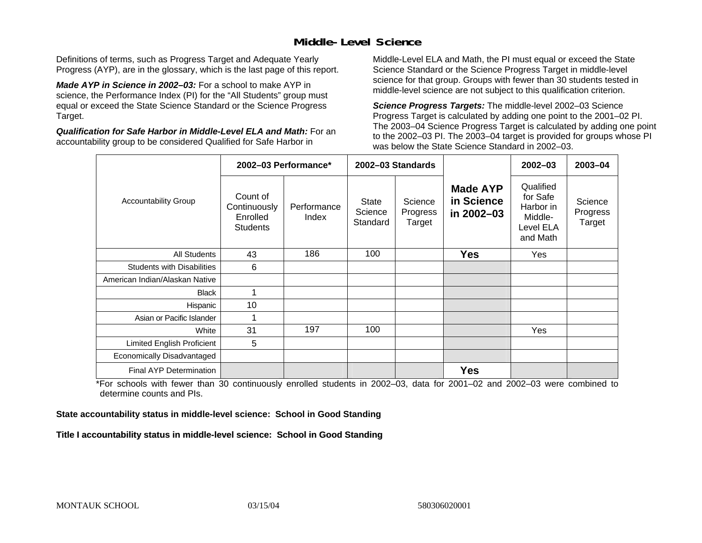#### **Middle-Level Science**

Definitions of terms, such as Progress Target and Adequate Yearly Progress (AYP), are in the glossary, which is the last page of this report.

*Made AYP in Science in 2002–03:* For a school to make AYP in science, the Performance Index (PI) for the "All Students" group must equal or exceed the State Science Standard or the Science Progress Target.

*Qualification for Safe Harbor in Middle-Level ELA and Math:* For an accountability group to be considered Qualified for Safe Harbor in

Middle-Level ELA and Math, the PI must equal or exceed the State Science Standard or the Science Progress Target in middle-level science for that group. Groups with fewer than 30 students tested in middle-level science are not subject to this qualification criterion.

*Science Progress Targets:* The middle-level 2002–03 Science Progress Target is calculated by adding one point to the 2001–02 PI. The 2003–04 Science Progress Target is calculated by adding one point to the 2002–03 PI. The 2003–04 target is provided for groups whose PI was below the State Science Standard in 2002–03.

|                                   |                                                         | 2002-03 Performance* |                                     | 2002-03 Standards             |                                             | $2002 - 03$                                                            | $2003 - 04$                   |
|-----------------------------------|---------------------------------------------------------|----------------------|-------------------------------------|-------------------------------|---------------------------------------------|------------------------------------------------------------------------|-------------------------------|
| <b>Accountability Group</b>       | Count of<br>Continuously<br>Enrolled<br><b>Students</b> | Performance<br>Index | <b>State</b><br>Science<br>Standard | Science<br>Progress<br>Target | <b>Made AYP</b><br>in Science<br>in 2002-03 | Qualified<br>for Safe<br>Harbor in<br>Middle-<br>Level ELA<br>and Math | Science<br>Progress<br>Target |
| <b>All Students</b>               | 43                                                      | 186                  | 100                                 |                               | <b>Yes</b>                                  | Yes                                                                    |                               |
| <b>Students with Disabilities</b> | 6                                                       |                      |                                     |                               |                                             |                                                                        |                               |
| American Indian/Alaskan Native    |                                                         |                      |                                     |                               |                                             |                                                                        |                               |
| <b>Black</b>                      | 1                                                       |                      |                                     |                               |                                             |                                                                        |                               |
| Hispanic                          | 10                                                      |                      |                                     |                               |                                             |                                                                        |                               |
| Asian or Pacific Islander         |                                                         |                      |                                     |                               |                                             |                                                                        |                               |
| White                             | 31                                                      | 197                  | 100                                 |                               |                                             | Yes                                                                    |                               |
| Limited English Proficient        | 5                                                       |                      |                                     |                               |                                             |                                                                        |                               |
| Economically Disadvantaged        |                                                         |                      |                                     |                               |                                             |                                                                        |                               |
| <b>Final AYP Determination</b>    |                                                         |                      |                                     |                               | <b>Yes</b>                                  |                                                                        |                               |

\*For schools with fewer than 30 continuously enrolled students in 2002–03, data for 2001–02 and 2002–03 were combined to determine counts and PIs.

**State accountability status in middle-level science: School in Good Standing** 

Title I accountability status in middle-level science: School in Good Standing